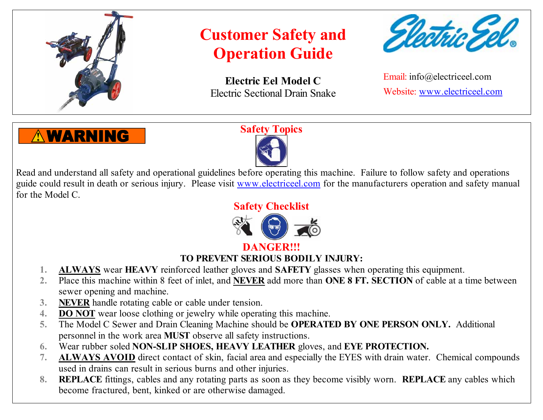

**Electric Eel Model C** Electric Sectional Drain Snake



Email: info@electriceel.com Website: www.electriceel.com

### **AWARNING**

### **Safety Topics**



Read and understand all safety and operational guidelines before operating this machine. Failure to follow safety and operations guide could result in death or serious injury. Please visit www.electriceel.com for the manufacturers operation and safety manual for the Model C.

**Safety Checklist**



### **DANGER!!!**

### **TO PREVENT SERIOUS BODILY INJURY:**

- **1. ALWAYS** wear **HEAVY** reinforced leather gloves and **SAFETY** glasses when operating this equipment.
- **2.** Place this machine within 8 feet of inlet, and **NEVER** add more than **ONE 8 FT. SECTION** of cable at a time between sewer opening and machine.
- **3. NEVER** handle rotating cable or cable under tension.
- **4. DO NOT** wear loose clothing or jewelry while operating this machine.
- **5.** The Model C Sewer and Drain Cleaning Machine should be **OPERATED BY ONE PERSON ONLY.** Additional personnel in the work area **MUST** observe all safety instructions.
- **6.** Wear rubber soled **NON-SLIP SHOES, HEAVY LEATHER** gloves, and **EYE PROTECTION.**
- **7. ALWAYS AVOID** direct contact of skin, facial area and especially the EYES with drain water. Chemical compounds used in drains can result in serious burns and other injuries.
- **8. REPLACE** fittings, cables and any rotating parts as soon as they become visibly worn. **REPLACE** any cables which become fractured, bent, kinked or are otherwise damaged.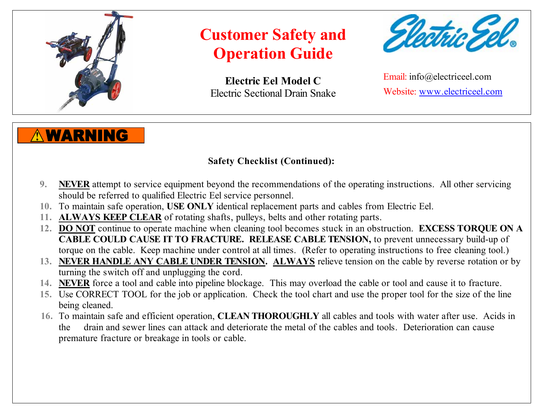

**Electric Eel Model C** Electric Sectional Drain Snake



Email: info@electriceel.com Website: www.electriceel.com

### **WARNING**

### **Safety Checklist (Continued):**

- **9. NEVER** attempt to service equipment beyond the recommendations of the operating instructions. All other servicing should be referred to qualified Electric Eel service personnel.
- **10.** To maintain safe operation, **USE ONLY** identical replacement parts and cables from Electric Eel.
- **11. ALWAYS KEEP CLEAR** of rotating shafts, pulleys, belts and other rotating parts.
- **12. DO NOT** continue to operate machine when cleaning tool becomes stuck in an obstruction. **EXCESS TORQUE ON A CABLE COULD CAUSE IT TO FRACTURE. RELEASE CABLE TENSION,** to prevent unnecessary build-up of torque on the cable. Keep machine under control at all times. (Refer to operating instructions to free cleaning tool.)
- **13. NEVER HANDLE ANY CABLE UNDER TENSION. ALWAYS** relieve tension on the cable by reverse rotation or by turning the switch off and unplugging the cord.
- **14. NEVER** force a tool and cable into pipeline blockage. This may overload the cable or tool and cause it to fracture.
- **15.** Use CORRECT TOOL for the job or application. Check the tool chart and use the proper tool for the size of the line being cleaned.
- **16.** To maintain safe and efficient operation, **CLEAN THOROUGHLY** all cables and tools with water after use. Acids in the drain and sewer lines can attack and deteriorate the metal of the cables and tools. Deterioration can cause premature fracture or breakage in tools or cable.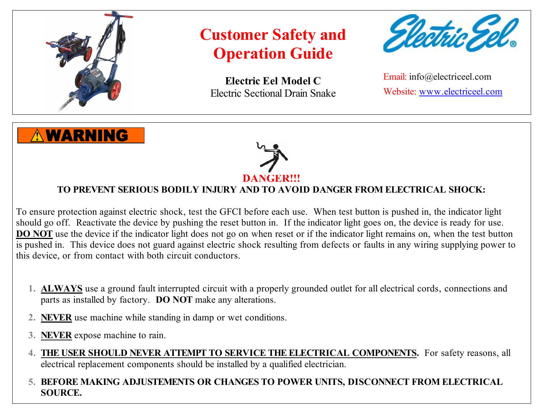

**WARNING** 

## **Customer Safety and Operation Guide**

**Electric Eel Model C** Electric Sectional Drain Snake



Email: info@electriceel.com Website: www.electriceel.com



#### **TO PREVENT SERIOUS BODILY INJURY AND TO AVOID DANGER FROM ELECTRICAL SHOCK:**

To ensure protection against electric shock, test the GFCI before each use. When test button is pushed in, the indicator light should go off. Reactivate the device by pushing the reset button in. If the indicator light goes on, the device is ready for use. **DO NOT** use the device if the indicator light does not go on when reset or if the indicator light remains on, when the test button is pushed in. This device does not guard against electric shock resulting from defects or faults in any wiring supplying power to this device, or from contact with both circuit conductors.

- **1. ALWAYS** use a ground fault interrupted circuit with a properly grounded outlet for all electrical cords, connections and parts as installed by factory. **DO NOT** make any alterations.
- **2. NEVER** use machine while standing in damp or wet conditions.
- **3. NEVER** expose machine to rain.
- **4. THE USER SHOULD NEVER ATTEMPT TO SERVICE THE ELECTRICAL COMPONENTS.** For safety reasons, all electrical replacement components should be installed by a qualified electrician.

#### **5. BEFORE MAKING ADJUSTEMENTS OR CHANGES TO POWER UNITS, DISCONNECT FROM ELECTRICAL SOURCE.**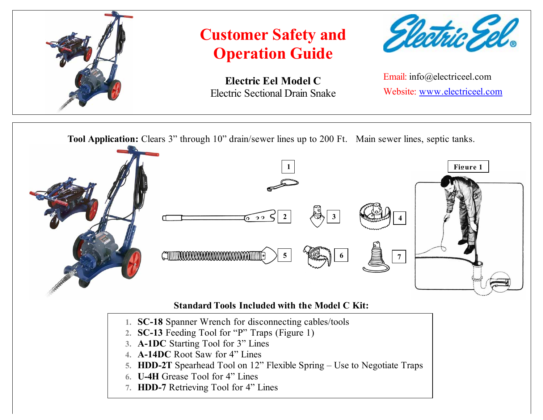

**Electric Eel Model C** Electric Sectional Drain Snake



Email: info@electriceel.com Website: www.electriceel.com

**Tool Application:** Clears 3" through 10" drain/sewer lines up to 200 Ft. Main sewer lines, septic tanks.



#### **Standard Tools Included with the Model C Kit:**

- **1. SC-18** Spanner Wrench for disconnecting cables/tools
- **2. SC-13** Feeding Tool for "P" Traps (Figure 1)
- **3. A-1DC** Starting Tool for 3" Lines
- **4. A-14DC** Root Saw for 4" Lines
- **5. HDD-2T** Spearhead Tool on 12" Flexible Spring Use to Negotiate Traps
- **6. U-4H** Grease Tool for 4" Lines
- **7. HDD-7** Retrieving Tool for 4" Lines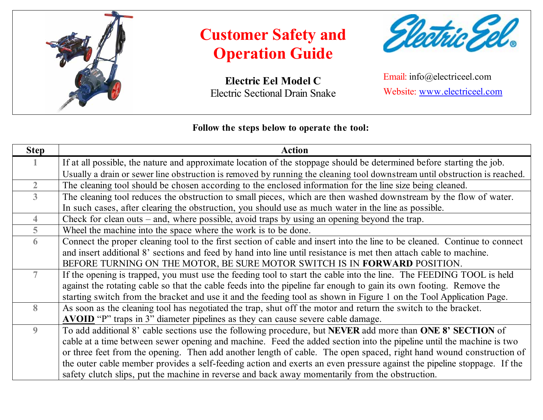

**Electric Eel Model C** Electric Sectional Drain Snake



Email: info@electriceel.com Website: www.electriceel.com

#### **Follow the steps below to operate the tool:**

| <b>Step</b>    | <b>Action</b>                                                                                                              |
|----------------|----------------------------------------------------------------------------------------------------------------------------|
|                | If at all possible, the nature and approximate location of the stoppage should be determined before starting the job.      |
|                | Usually a drain or sewer line obstruction is removed by running the cleaning tool downstream until obstruction is reached. |
| $\overline{2}$ | The cleaning tool should be chosen according to the enclosed information for the line size being cleaned.                  |
| $\overline{3}$ | The cleaning tool reduces the obstruction to small pieces, which are then washed downstream by the flow of water.          |
|                | In such cases, after clearing the obstruction, you should use as much water in the line as possible.                       |
| 4              | Check for clean outs $-$ and, where possible, avoid traps by using an opening beyond the trap.                             |
| 5              | Wheel the machine into the space where the work is to be done.                                                             |
| 6              | Connect the proper cleaning tool to the first section of cable and insert into the line to be cleaned. Continue to connect |
|                | and insert additional 8' sections and feed by hand into line until resistance is met then attach cable to machine.         |
|                | BEFORE TURNING ON THE MOTOR, BE SURE MOTOR SWITCH IS IN FORWARD POSITION.                                                  |
|                | If the opening is trapped, you must use the feeding tool to start the cable into the line. The FEEDING TOOL is held        |
|                | against the rotating cable so that the cable feeds into the pipeline far enough to gain its own footing. Remove the        |
|                | starting switch from the bracket and use it and the feeding tool as shown in Figure 1 on the Tool Application Page.        |
| 8              | As soon as the cleaning tool has negotiated the trap, shut off the motor and return the switch to the bracket.             |
|                | <b>AVOID</b> "P" traps in 3" diameter pipelines as they can cause severe cable damage.                                     |
| 9              | To add additional 8' cable sections use the following procedure, but NEVER add more than ONE 8' SECTION of                 |
|                | cable at a time between sewer opening and machine. Feed the added section into the pipeline until the machine is two       |
|                | or three feet from the opening. Then add another length of cable. The open spaced, right hand wound construction of        |
|                | the outer cable member provides a self-feeding action and exerts an even pressure against the pipeline stoppage. If the    |
|                | safety clutch slips, put the machine in reverse and back away momentarily from the obstruction.                            |